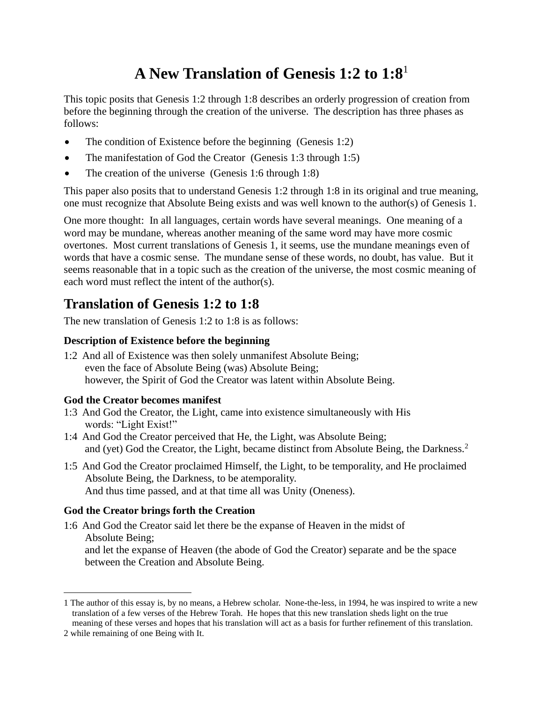# **A New Translation of Genesis 1:2 to 1:8**<sup>1</sup>

This topic posits that Genesis 1:2 through 1:8 describes an orderly progression of creation from before the beginning through the creation of the universe. The description has three phases as follows:

- The condition of Existence before the beginning (Genesis 1:2)
- The manifestation of God the Creator (Genesis 1:3 through 1:5)
- The creation of the universe (Genesis 1:6 through 1:8)

This paper also posits that to understand Genesis 1:2 through 1:8 in its original and true meaning, one must recognize that Absolute Being exists and was well known to the author(s) of Genesis 1.

One more thought: In all languages, certain words have several meanings. One meaning of a word may be mundane, whereas another meaning of the same word may have more cosmic overtones. Most current translations of Genesis 1, it seems, use the mundane meanings even of words that have a cosmic sense. The mundane sense of these words, no doubt, has value. But it seems reasonable that in a topic such as the creation of the universe, the most cosmic meaning of each word must reflect the intent of the author(s).

### **Translation of Genesis 1:2 to 1:8**

The new translation of Genesis 1:2 to 1:8 is as follows:

#### **Description of Existence before the beginning**

1:2 And all of Existence was then solely unmanifest Absolute Being; even the face of Absolute Being (was) Absolute Being; however, the Spirit of God the Creator was latent within Absolute Being.

#### **God the Creator becomes manifest**

- 1:3 And God the Creator, the Light, came into existence simultaneously with His words: "Light Exist!"
- 1:4 And God the Creator perceived that He, the Light, was Absolute Being; and (yet) God the Creator, the Light, became distinct from Absolute Being, the Darkness.<sup>2</sup>
- 1:5 And God the Creator proclaimed Himself, the Light, to be temporality, and He proclaimed Absolute Being, the Darkness, to be atemporality. And thus time passed, and at that time all was Unity (Oneness).

#### **God the Creator brings forth the Creation**

1:6 And God the Creator said let there be the expanse of Heaven in the midst of Absolute Being; and let the expanse of Heaven (the abode of God the Creator) separate and be the space between the Creation and Absolute Being.

<sup>1</sup> The author of this essay is, by no means, a Hebrew scholar. None-the-less, in 1994, he was inspired to write a new translation of a few verses of the Hebrew Torah. He hopes that this new translation sheds light on the true meaning of these verses and hopes that his translation will act as a basis for further refinement of this translation.

<sup>2</sup> while remaining of one Being with It.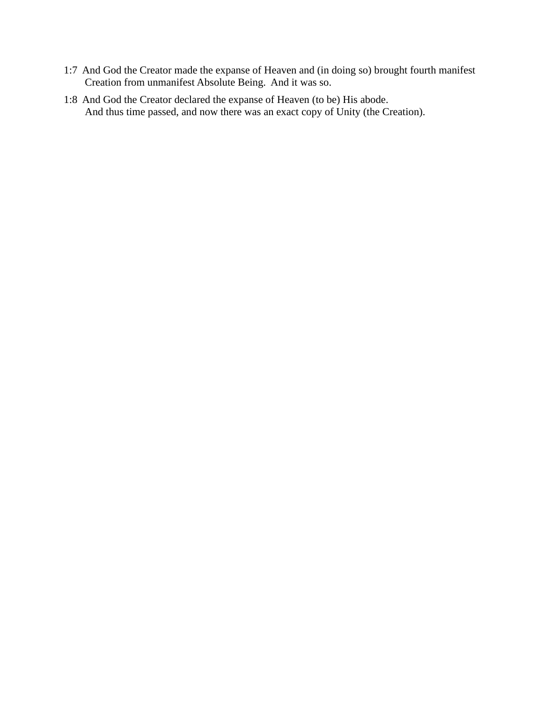- 1:7 And God the Creator made the expanse of Heaven and (in doing so) brought fourth manifest Creation from unmanifest Absolute Being. And it was so.
- 1:8 And God the Creator declared the expanse of Heaven (to be) His abode. And thus time passed, and now there was an exact copy of Unity (the Creation).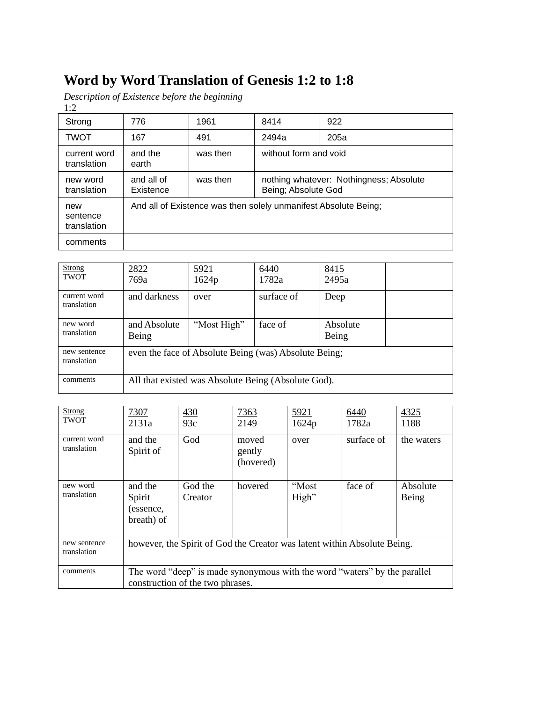## **Word by Word Translation of Genesis 1:2 to 1:8**

*Description of Existence before the beginning*  $1\cdot2$ 

| $\mathbf{1} \cdot \mathbf{2}$  |                         |          |                                                                 |      |  |
|--------------------------------|-------------------------|----------|-----------------------------------------------------------------|------|--|
| Strong                         | 776                     | 1961     | 8414                                                            | 922  |  |
| <b>TWOT</b>                    | 167                     | 491      | 2494a                                                           | 205a |  |
| current word<br>translation    | and the<br>earth        | was then | without form and void                                           |      |  |
| new word<br>translation        | and all of<br>Existence | was then | nothing whatever: Nothingness; Absolute<br>Being; Absolute God  |      |  |
| new<br>sentence<br>translation |                         |          | And all of Existence was then solely unmanifest Absolute Being; |      |  |
| comments                       |                         |          |                                                                 |      |  |

| Strong<br><b>TWOT</b>       | 2822<br>769a                                          | 5921<br>1624p                                       | 6440<br>1782a | 8415<br>2495a     |  |
|-----------------------------|-------------------------------------------------------|-----------------------------------------------------|---------------|-------------------|--|
| current word<br>translation | and darkness                                          | over                                                | surface of    | Deep              |  |
| new word<br>translation     | and Absolute<br>Being                                 | "Most High"                                         | face of       | Absolute<br>Being |  |
| new sentence<br>translation | even the face of Absolute Being (was) Absolute Being; |                                                     |               |                   |  |
| comments                    |                                                       | All that existed was Absolute Being (Absolute God). |               |                   |  |

| <b>Strong</b><br><b>TWOT</b> | 7307<br>2131a                                                            | 430<br>93c                       | 7363<br>2149                 | 5921<br>1624p  | 6440<br>1782a                                                             | 4325<br>1188      |
|------------------------------|--------------------------------------------------------------------------|----------------------------------|------------------------------|----------------|---------------------------------------------------------------------------|-------------------|
| current word<br>translation  | and the<br>Spirit of                                                     | God                              | moved<br>gently<br>(hovered) | over           | surface of                                                                | the waters        |
| new word<br>translation      | and the<br>Spirit<br>(essence,<br>breath) of                             | God the<br>Creator               | hovered                      | "Most<br>High" | face of                                                                   | Absolute<br>Being |
| new sentence<br>translation  | however, the Spirit of God the Creator was latent within Absolute Being. |                                  |                              |                |                                                                           |                   |
| comments                     |                                                                          | construction of the two phrases. |                              |                | The word "deep" is made synonymous with the word "waters" by the parallel |                   |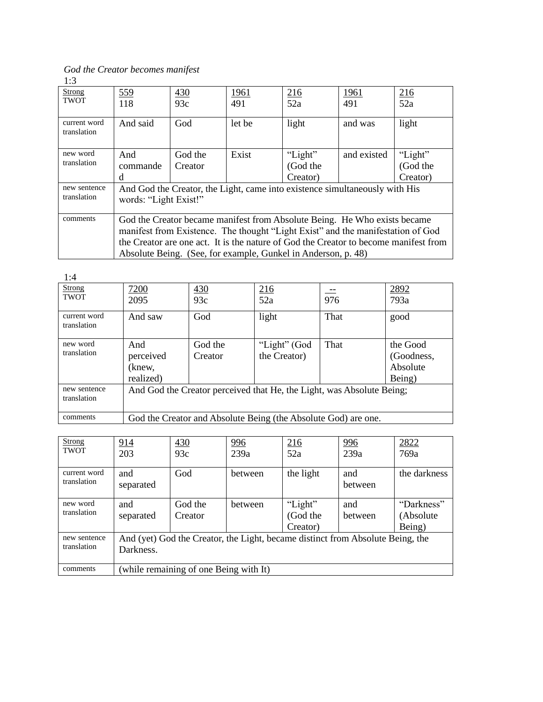*God the Creator becomes manifest* 1:3

| <b>Strong</b><br><b>TWOT</b> | 559<br>118                                                                                                                                                   | 430<br>93c | <u> 1961 </u><br>491 | 216<br>52a                                                                           | <u>1961</u><br>491 | 216<br>52a |
|------------------------------|--------------------------------------------------------------------------------------------------------------------------------------------------------------|------------|----------------------|--------------------------------------------------------------------------------------|--------------------|------------|
|                              |                                                                                                                                                              |            |                      |                                                                                      |                    |            |
| current word<br>translation  | And said                                                                                                                                                     | God        | let be               | light                                                                                | and was            | light      |
| new word                     | And                                                                                                                                                          | God the    | Exist                | "Light"                                                                              | and existed        | "Light"    |
| translation                  | commande                                                                                                                                                     | Creator    |                      | (God the                                                                             |                    | (God the   |
|                              | d                                                                                                                                                            |            |                      | Creator)                                                                             |                    | Creator)   |
| new sentence                 |                                                                                                                                                              |            |                      | And God the Creator, the Light, came into existence simultaneously with His          |                    |            |
| translation                  | words: "Light Exist!"                                                                                                                                        |            |                      |                                                                                      |                    |            |
| comments                     |                                                                                                                                                              |            |                      |                                                                                      |                    |            |
|                              | God the Creator became manifest from Absolute Being. He Who exists became<br>manifest from Existence. The thought "Light Exist" and the manifestation of God |            |                      |                                                                                      |                    |            |
|                              |                                                                                                                                                              |            |                      | the Creator are one act. It is the nature of God the Creator to become manifest from |                    |            |
|                              |                                                                                                                                                              |            |                      | Absolute Being. (See, for example, Gunkel in Anderson, p. 48)                        |                    |            |

| 1:4                          |              |            |                                                                       |      |              |
|------------------------------|--------------|------------|-----------------------------------------------------------------------|------|--------------|
| <b>Strong</b><br><b>TWOT</b> | 7200<br>2095 | 430<br>93c | 216<br>52a                                                            | 976  | 2892<br>793a |
|                              |              |            |                                                                       |      |              |
| current word                 | And saw      | God        | light                                                                 | That | good         |
| translation                  |              |            |                                                                       |      |              |
| new word                     | And          | God the    | "Light" (God                                                          | That | the Good     |
| translation                  | perceived    | Creator    | the Creator)                                                          |      | (Goodness,   |
|                              | (knew.       |            |                                                                       |      | Absolute     |
|                              | realized)    |            |                                                                       |      | Being)       |
| new sentence                 |              |            | And God the Creator perceived that He, the Light, was Absolute Being; |      |              |
| translation                  |              |            |                                                                       |      |              |
| comments                     |              |            | God the Creator and Absolute Being (the Absolute God) are one.        |      |              |

| <b>Strong</b><br><b>TWOT</b> | 914<br>203                                                                                  | 430<br>93c                             | <u>996</u><br>239a | 216<br>52a                      | <u>996</u><br>239a | 2822<br>769a                      |
|------------------------------|---------------------------------------------------------------------------------------------|----------------------------------------|--------------------|---------------------------------|--------------------|-----------------------------------|
| current word<br>translation  | and<br>separated                                                                            | God                                    | between            | the light                       | and<br>between     | the darkness                      |
| new word<br>translation      | and<br>separated                                                                            | God the<br>Creator                     | between            | "Light"<br>(God the<br>Creator) | and<br>between     | "Darkness"<br>(Absolute<br>Being) |
| new sentence<br>translation  | And (yet) God the Creator, the Light, became distinct from Absolute Being, the<br>Darkness. |                                        |                    |                                 |                    |                                   |
| comments                     |                                                                                             | (while remaining of one Being with It) |                    |                                 |                    |                                   |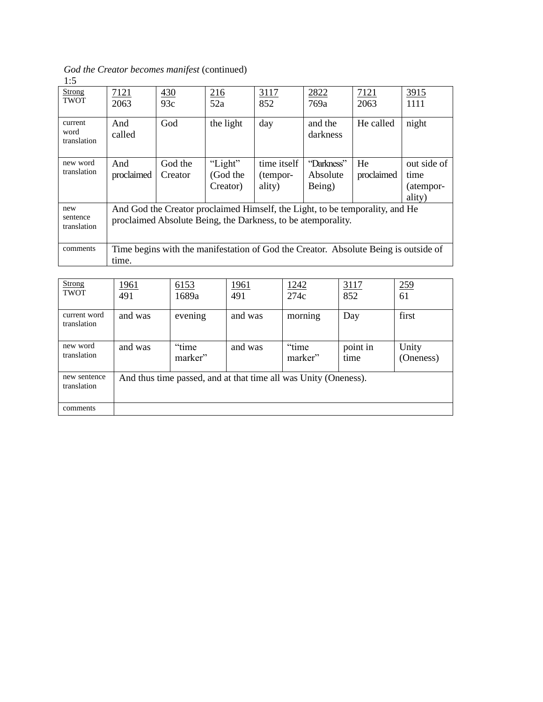*God the Creator becomes manifest* (continued) 1:5

| <b>Strong</b><br><b>TWOT</b>   | 7121<br>2063                                                                                                                                 | 430<br>93c         | 216<br>52a                      | 3117<br>852                                                                         | 2822<br>769a                     | 7121<br>2063     | 3915<br>1111                               |
|--------------------------------|----------------------------------------------------------------------------------------------------------------------------------------------|--------------------|---------------------------------|-------------------------------------------------------------------------------------|----------------------------------|------------------|--------------------------------------------|
| current<br>word<br>translation | And<br>called                                                                                                                                | God                | the light                       | day                                                                                 | and the<br>darkness              | He called        | night                                      |
| new word<br>translation        | And<br>proclaimed                                                                                                                            | God the<br>Creator | "Light"<br>(God the<br>Creator) | time itself<br>(tempor-<br>ality)                                                   | "Darkness"<br>Absolute<br>Being) | He<br>proclaimed | out side of<br>time<br>(atempor-<br>ality) |
| new<br>sentence<br>translation | And God the Creator proclaimed Himself, the Light, to be temporality, and He<br>proclaimed Absolute Being, the Darkness, to be atemporality. |                    |                                 |                                                                                     |                                  |                  |                                            |
| comments                       | time.                                                                                                                                        |                    |                                 | Time begins with the manifestation of God the Creator. Absolute Being is outside of |                                  |                  |                                            |

| <b>Strong</b><br><b>TWOT</b> | <u>1961</u><br>491 | 6153<br>1689a                                                   | <u> 1961 </u><br>491 | 1242<br>274c      | 3117<br>852      | <u>259</u><br>61   |
|------------------------------|--------------------|-----------------------------------------------------------------|----------------------|-------------------|------------------|--------------------|
| current word<br>translation  | and was            | evening                                                         | and was              | morning           | Day              | first              |
| new word<br>translation      | and was            | "time"<br>marker"                                               | and was              | "time"<br>marker" | point in<br>time | Unity<br>(Oneness) |
| new sentence<br>translation  |                    | And thus time passed, and at that time all was Unity (Oneness). |                      |                   |                  |                    |
| comments                     |                    |                                                                 |                      |                   |                  |                    |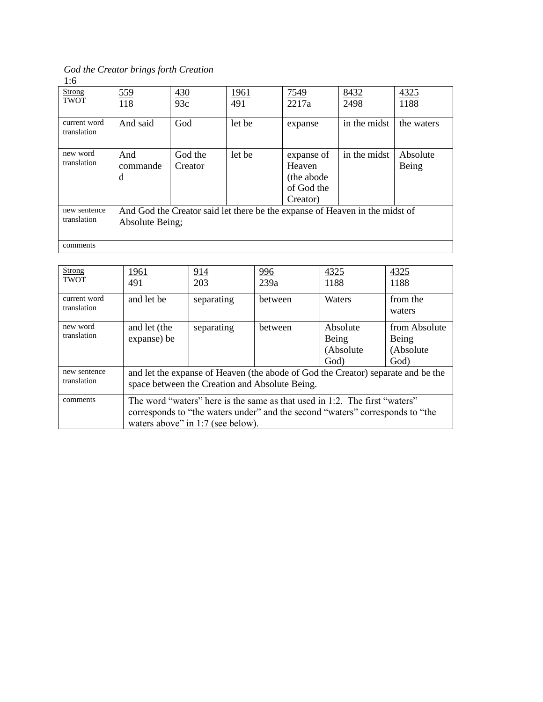*God the Creator brings forth Creation* 1:6

| <b>Strong</b><br><b>TWOT</b> | 559<br>118           | 430<br>93c         | <u> 1961 </u><br>491 | 7549<br>2217a                                                | 8432<br>2498                                                                | 4325<br>1188      |
|------------------------------|----------------------|--------------------|----------------------|--------------------------------------------------------------|-----------------------------------------------------------------------------|-------------------|
| current word<br>translation  | And said             | God                | let be               | expanse                                                      | in the midst                                                                | the waters        |
| new word<br>translation      | And<br>commande<br>d | God the<br>Creator | let be               | expanse of<br>Heaven<br>(the abode<br>of God the<br>Creator) | in the midst                                                                | Absolute<br>Being |
| new sentence<br>translation  | Absolute Being;      |                    |                      |                                                              | And God the Creator said let there be the expanse of Heaven in the midst of |                   |
| comments                     |                      |                    |                      |                                                              |                                                                             |                   |

| <b>Strong</b><br><b>TWOT</b> | 1961<br>491                                                                                                                        | 914<br>203                        | 996<br>239a                                                                                                                                                 | 4325<br>1188                           | 4325<br>1188                                |
|------------------------------|------------------------------------------------------------------------------------------------------------------------------------|-----------------------------------|-------------------------------------------------------------------------------------------------------------------------------------------------------------|----------------------------------------|---------------------------------------------|
| current word<br>translation  | and let be                                                                                                                         | separating                        | between                                                                                                                                                     | Waters                                 | from the<br>waters                          |
| new word<br>translation      | and let (the<br>expanse) be                                                                                                        | separating                        | between                                                                                                                                                     | Absolute<br>Being<br>(Absolute<br>God) | from Absolute<br>Being<br>(Absolute<br>God) |
| new sentence<br>translation  | and let the expanse of Heaven (the abode of God the Creator) separate and be the<br>space between the Creation and Absolute Being. |                                   |                                                                                                                                                             |                                        |                                             |
| comments                     |                                                                                                                                    | waters above" in 1:7 (see below). | The word "waters" here is the same as that used in 1:2. The first "waters"<br>corresponds to "the waters under" and the second "waters" corresponds to "the |                                        |                                             |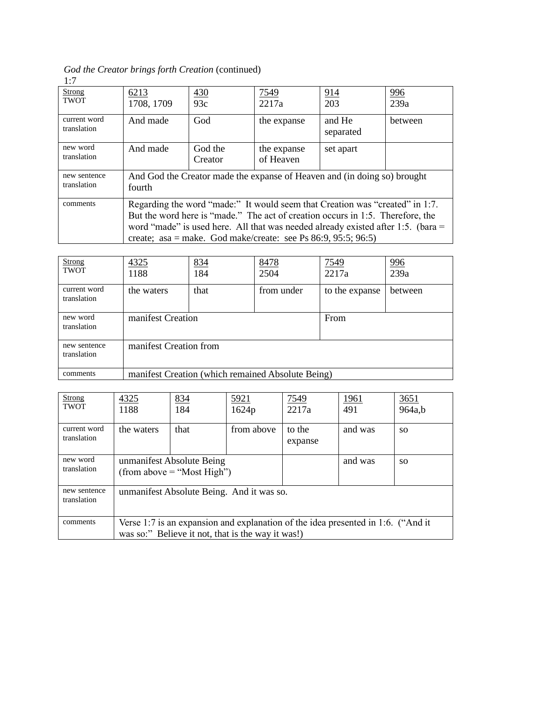*God the Creator brings forth Creation* (continued) 1:7

| Strong<br><b>TWOT</b>       | 6213<br>1708, 1709                                                                                                                                                                                                                                                                                                       | 430<br>93c         | 7549<br>2217a            | <u>914</u><br>203                                                        | <u>996</u><br>239a |
|-----------------------------|--------------------------------------------------------------------------------------------------------------------------------------------------------------------------------------------------------------------------------------------------------------------------------------------------------------------------|--------------------|--------------------------|--------------------------------------------------------------------------|--------------------|
| current word<br>translation | And made                                                                                                                                                                                                                                                                                                                 | God                | the expanse              | and He<br>separated                                                      | between            |
| new word<br>translation     | And made                                                                                                                                                                                                                                                                                                                 | God the<br>Creator | the expanse<br>of Heaven | set apart                                                                |                    |
| new sentence<br>translation | fourth                                                                                                                                                                                                                                                                                                                   |                    |                          | And God the Creator made the expanse of Heaven and (in doing so) brought |                    |
| comments                    | Regarding the word "made:" It would seem that Creation was "created" in 1:7.<br>But the word here is "made." The act of creation occurs in 1:5. Therefore, the<br>word "made" is used here. All that was needed already existed after 1:5. (bara $=$<br>create; asa = make. God make/create: see Ps $86:9, 95:5; 96:5$ ) |                    |                          |                                                                          |                    |

| Strong<br><b>TWOT</b>       | 4325<br>1188           | 834<br>184        | 8478<br>2504                                      | <u>7549</u><br>2217a | <u>996</u><br>239a |
|-----------------------------|------------------------|-------------------|---------------------------------------------------|----------------------|--------------------|
| current word<br>translation | the waters             | that              | from under                                        | to the expanse       | between            |
| new word<br>translation     |                        | manifest Creation |                                                   |                      |                    |
| new sentence<br>translation | manifest Creation from |                   |                                                   |                      |                    |
| comments                    |                        |                   | manifest Creation (which remained Absolute Being) |                      |                    |

| <b>Strong</b><br><b>TWOT</b> | 4325<br>1188                                                                                                                          | 834<br>184 | 5921<br>1624p | 7549<br>2217a     | <u> 1961 </u><br>491 | <u>3651</u><br>964a,b |
|------------------------------|---------------------------------------------------------------------------------------------------------------------------------------|------------|---------------|-------------------|----------------------|-----------------------|
| current word<br>translation  | the waters                                                                                                                            | that       | from above    | to the<br>expanse | and was              | SO.                   |
| new word<br>translation      | unmanifest Absolute Being<br>(from above $=$ "Most High")                                                                             |            |               |                   | and was              | SO.                   |
| new sentence<br>translation  | unmanifest Absolute Being. And it was so.                                                                                             |            |               |                   |                      |                       |
| comments                     | Verse 1:7 is an expansion and explanation of the idea presented in 1:6. ("And it<br>was so:" Believe it not, that is the way it was!) |            |               |                   |                      |                       |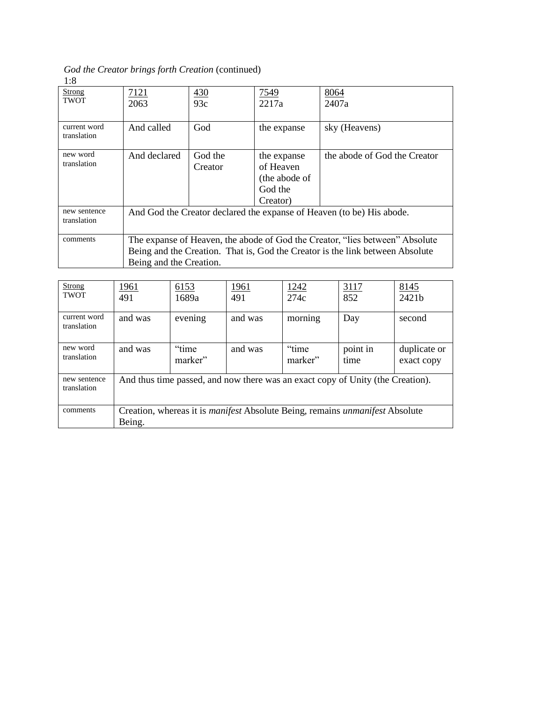*God the Creator brings forth Creation* (continued) 1:8

| <b>Strong</b><br><b>TWOT</b> | 7121<br>2063                                                                                                                                                                             | 430<br>93c         | 7549<br>2217a                                                    | 8064<br>2407a                |  |  |
|------------------------------|------------------------------------------------------------------------------------------------------------------------------------------------------------------------------------------|--------------------|------------------------------------------------------------------|------------------------------|--|--|
| current word<br>translation  | And called                                                                                                                                                                               | God                | the expanse                                                      | sky (Heavens)                |  |  |
| new word<br>translation      | And declared                                                                                                                                                                             | God the<br>Creator | the expanse<br>of Heaven<br>(the abode of<br>God the<br>Creator) | the abode of God the Creator |  |  |
| new sentence<br>translation  | And God the Creator declared the expanse of Heaven (to be) His abode.                                                                                                                    |                    |                                                                  |                              |  |  |
| comments                     | The expanse of Heaven, the abode of God the Creator, "lies between" Absolute<br>Being and the Creation. That is, God the Creator is the link between Absolute<br>Being and the Creation. |                    |                                                                  |                              |  |  |

| <b>Strong</b><br><b>TWOT</b> | <u> 1961</u><br>491                                                                                  | 6153<br>1689a     | <u> 1961 </u><br>491 | 1242<br>274c      | 3117<br>852      | 8145<br>2421b              |
|------------------------------|------------------------------------------------------------------------------------------------------|-------------------|----------------------|-------------------|------------------|----------------------------|
| current word<br>translation  | and was                                                                                              | evening           | and was              | morning           | Day              | second                     |
| new word<br>translation      | and was                                                                                              | "time"<br>marker" | and was              | "time"<br>marker" | point in<br>time | duplicate or<br>exact copy |
| new sentence<br>translation  | And thus time passed, and now there was an exact copy of Unity (the Creation).                       |                   |                      |                   |                  |                            |
| comments                     | Creation, whereas it is <i>manifest</i> Absolute Being, remains <i>unmanifest</i> Absolute<br>Being. |                   |                      |                   |                  |                            |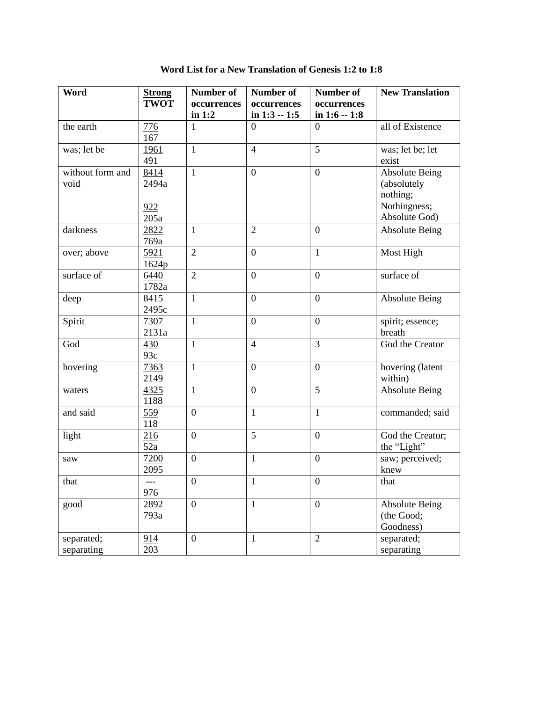| <b>Word</b>              | <b>Strong</b>                | <b>Number of</b> | <b>Number of</b> | <b>Number of</b> | <b>New Translation</b>                                                            |
|--------------------------|------------------------------|------------------|------------------|------------------|-----------------------------------------------------------------------------------|
|                          | <b>TWOT</b>                  | occurrences      | occurrences      | occurrences      |                                                                                   |
|                          |                              | in $1:2$         | in $1:3 - 1:5$   | in $1:6 - 1:8$   |                                                                                   |
| the earth                | 776<br>167                   | $\mathbf{1}$     | $\overline{0}$   | $\overline{0}$   | all of Existence                                                                  |
| was; let be              | 1961<br>491                  | $\mathbf{1}$     | $\overline{4}$   | 5                | was; let be; let<br>exist                                                         |
| without form and<br>void | 8414<br>2494a<br>922<br>205a | $\mathbf{1}$     | $\boldsymbol{0}$ | $\overline{0}$   | <b>Absolute Being</b><br>(absolutely<br>nothing;<br>Nothingness;<br>Absolute God) |
| darkness                 | 2822<br>769a                 | $\mathbf{1}$     | $\overline{2}$   | $\mathbf{0}$     | <b>Absolute Being</b>                                                             |
| over; above              | 5921<br>1624p                | $\overline{2}$   | $\mathbf{0}$     | $\mathbf{1}$     | Most High                                                                         |
| surface of               | 6440<br>1782a                | $\overline{2}$   | $\overline{0}$   | $\overline{0}$   | surface of                                                                        |
| deep                     | 8415<br>2495c                | $\mathbf{1}$     | $\boldsymbol{0}$ | $\boldsymbol{0}$ | <b>Absolute Being</b>                                                             |
| Spirit                   | 7307<br>2131a                | $\mathbf{1}$     | $\overline{0}$   | $\boldsymbol{0}$ | spirit; essence;<br>breath                                                        |
| God                      | 430<br>93c                   | $\mathbf{1}$     | $\overline{4}$   | 3                | God the Creator                                                                   |
| hovering                 | 7363<br>2149                 | $\mathbf{1}$     | $\overline{0}$   | $\overline{0}$   | hovering (latent<br>within)                                                       |
| waters                   | 4325<br>1188                 | $\mathbf{1}$     | $\overline{0}$   | 5                | <b>Absolute Being</b>                                                             |
| and said                 | 559<br>118                   | $\overline{0}$   | $\mathbf{1}$     | $\mathbf{1}$     | commanded; said                                                                   |
| light                    | 216<br>52a                   | $\boldsymbol{0}$ | 5                | $\boldsymbol{0}$ | God the Creator;<br>the "Light"                                                   |
| saw                      | 7200<br>2095                 | $\boldsymbol{0}$ | $\mathbf{1}$     | $\boldsymbol{0}$ | saw; perceived;<br>knew                                                           |
| that                     | 976                          | $\boldsymbol{0}$ | $\mathbf{1}$     | $\boldsymbol{0}$ | that                                                                              |
| good                     | 2892<br>793a                 | $\overline{0}$   | $\mathbf{1}$     | $\overline{0}$   | <b>Absolute Being</b><br>(the Good;<br>Goodness)                                  |
| separated;<br>separating | 914<br>203                   | $\boldsymbol{0}$ | $\mathbf{1}$     | $\overline{2}$   | separated;<br>separating                                                          |

**Word List for a New Translation of Genesis 1:2 to 1:8**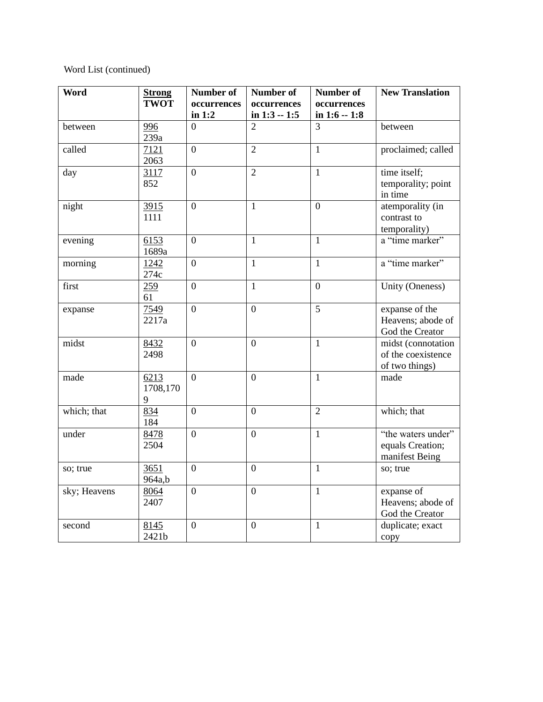### Word List (continued)

| Word                       | <b>Strong</b> | Number of      | Number of        | Number of      | <b>New Translation</b> |
|----------------------------|---------------|----------------|------------------|----------------|------------------------|
|                            | <b>TWOT</b>   | occurrences    | occurrences      | occurrences    |                        |
|                            |               | in $1:2$       | in $1:3 - 1:5$   | in $1:6 - 1:8$ |                        |
| between                    | 996           | $\theta$       | $\overline{2}$   | 3              | between                |
|                            | 239a          |                |                  |                |                        |
| called                     | 7121          | $\overline{0}$ | $\overline{2}$   | $\mathbf{1}$   | proclaimed; called     |
|                            | 2063          |                |                  |                |                        |
| day                        | 3117          | $\mathbf{0}$   | $\overline{2}$   | $\mathbf{1}$   | time itself;           |
|                            | 852           |                |                  |                | temporality; point     |
|                            |               |                |                  |                | in time                |
| night                      | 3915          | $\overline{0}$ | $\mathbf{1}$     | $\overline{0}$ | atemporality (in       |
|                            | 1111          |                |                  |                | contrast to            |
|                            |               |                |                  |                | temporality)           |
| evening                    | 6153          | $\overline{0}$ | $\mathbf{1}$     | $\mathbf{1}$   | a "time marker"        |
|                            | 1689a         |                |                  |                |                        |
| morning                    | 1242          | $\overline{0}$ | $\mathbf{1}$     | $\mathbf{1}$   | a "time marker"        |
|                            | 274c          |                |                  |                |                        |
| first                      | 259           | $\overline{0}$ | $\mathbf{1}$     | $\overline{0}$ | Unity (Oneness)        |
|                            | 61            |                |                  |                |                        |
| expanse                    | 7549          | $\overline{0}$ | $\overline{0}$   | 5              | expanse of the         |
|                            | 2217a         |                |                  |                | Heavens; abode of      |
|                            |               |                |                  |                | God the Creator        |
| $\overline{\text{m}}$ idst | 8432          | $\mathbf{0}$   | $\overline{0}$   | $\mathbf{1}$   | midst (connotation     |
|                            | 2498          |                |                  |                | of the coexistence     |
|                            |               |                |                  |                | of two things)         |
| made                       | 6213          | $\overline{0}$ | $\overline{0}$   | $\mathbf{1}$   | made                   |
|                            | 1708,170      |                |                  |                |                        |
|                            | 9             |                |                  |                |                        |
| which; that                | 834           | $\overline{0}$ | $\overline{0}$   | $\overline{2}$ | which; that            |
|                            | 184           |                |                  |                |                        |
| under                      | 8478          | $\overline{0}$ | $\overline{0}$   | $\mathbf{1}$   | "the waters under"     |
|                            | 2504          |                |                  |                | equals Creation;       |
|                            |               |                |                  |                | manifest Being         |
| so; true                   | 3651          | $\overline{0}$ | $\boldsymbol{0}$ | $\mathbf{1}$   | so; true               |
|                            | 964a,b        |                |                  |                |                        |
| sky; Heavens               | 8064          | $\overline{0}$ | $\overline{0}$   | $\mathbf{1}$   | expanse of             |
|                            | 2407          |                |                  |                | Heavens; abode of      |
|                            |               |                |                  |                | God the Creator        |
| second                     | 8145          | $\overline{0}$ | $\mathbf{0}$     | $\mathbf{1}$   | duplicate; exact       |
|                            | 2421b         |                |                  |                | copy                   |